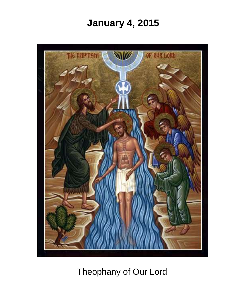# **January 4, 2015**



Theophany of Our Lord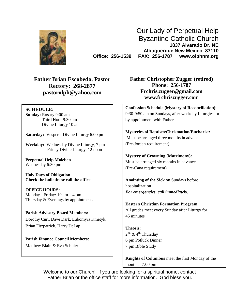

Our Lady of Perpetual Help Byzantine Catholic Church **1837 Alvarado Dr. NE Albuquerque New Mexico 87110 Office: 256-1539 FAX: 256-1787 www.olphnm.org**

**Father Brian Escobedo, Pastor Rectory: 268-2877 [pastorolph@yahoo.com](mailto:pastorolph@yahoo.com)**

#### **SCHEDULE:**

**Sunday:** Rosary 9:00 am Third Hour 9:30 am Divine Liturgy 10 am

**Saturday:** Vesperal Divine Liturgy 6:00 pm

**Weekday:** Wednesday Divine Liturgy, 7 pm Friday Divine Liturgy, 12 noon

**Perpetual Help Moleben** Wednesday 6:30 pm

**Holy Days of Obligation Check the bulletin or call the office**

**OFFICE HOURS:** Monday - Friday: 10 am – 4 pm Thursday & Evenings by appointment.

**Parish Advisory Board Members:** Dorothy Curl, Dave Dark, Lubomyra Kmetyk, Brian Fitzpatrick, Harry DeLap

**Parish Finance Council Members:** Matthew Blain & Eva Schuler

**Father Christopher Zugger (retired) Phone: 256-1787 [Frchris.zugger@gmail.com](mailto:Frchris.zugger@gmail.com) www.frchriszugger.com**

**Confession Schedule (Mystery of Reconciliation):** 9:30-9:50 am on Sundays, after weekday Liturgies, or by appointment with Father

**Mysteries of Baptism/Chrismation/Eucharist:** Must be arranged three months in advance. (Pre-Jordan requirement)

**Mystery of Crowning (Matrimony):** Must be arranged six months in advance (Pre-Cana requirement)

**Anointing of the Sick** on Sundays before hospitalization *For emergencies, call immediately.*

**Eastern Christian Formation Program**: All grades meet every Sunday after Liturgy for 45 minutes

**Theosis:** 2<sup>nd</sup> & 4<sup>th</sup> Thursday 6 pm Potluck Dinner 7 pm Bible Study

**Knights of Columbus** meet the first Monday of the month at 7:00 pm

Welcome to our Church! If you are looking for a spiritual home, contact Father Brian or the office staff for more information. God bless you.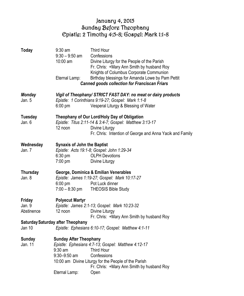# January 4, 2015 Sunday Before Theophany Epistle: 2 Timothy 4:5-8; Gospel: Mark 1:1-8

| Today                          | $9:30$ am<br>$9:30 - 9:50$ am<br>10:00 am<br>Eternal Lamp:                  | Third Hour<br>Confessions<br>Divine Liturgy for the People of the Parish<br>Fr. Chris: +Mary Ann Smith by husband Roy<br>Knights of Columbus Corporate Communion<br>Birthday blessings for Amanda Lowe by Pam Pettit<br><b>Canned goods collection for Franciscan Friars</b> |
|--------------------------------|-----------------------------------------------------------------------------|------------------------------------------------------------------------------------------------------------------------------------------------------------------------------------------------------------------------------------------------------------------------------|
| Monday<br>Jan. 5               | $6:00 \text{ pm}$                                                           | Vigil of Theophany/ STRICT FAST DAY: no meat or dairy products<br>Epistle: 1 Corinthians 9:19-27; Gospel: Mark 1:1-8<br>Vesperal Liturgy & Blessing of Water                                                                                                                 |
| <b>Tuesday</b><br>Jan. 6       | 12 noon                                                                     | Theophany of Our Lord/Holy Day of Obligation<br>Epistle: Titus 2:11-14 & 3:4-7; Gospel: Matthew 3:13-17<br>Divine Liturgy<br>Fr. Chris: Intention of George and Anna Yacik and Family                                                                                        |
| Wednesday<br>Jan. 7            | <b>Synaxis of John the Baptist</b><br>$6:30$ pm<br>$7:00$ pm                | Epistle: Acts 19:1-8; Gospel: John 1:29-34<br><b>OLPH Devotions</b><br>Divine Liturgy                                                                                                                                                                                        |
| Thursday<br>Jan. 8             | $6:00$ pm<br>$7:00 - 8:30$ pm                                               | George, Dominica & Emilian Venerables<br>Epistle: James 1:19-27; Gospel: Mark 10:17-27<br>Pot Luck dinner<br><b>THEOSIS Bible Study</b>                                                                                                                                      |
| Friday<br>Jan. 9<br>Abstinence | <b>Polyecut Martyr</b><br>12 noon                                           | Epistle: James 2:1-13; Gospel: Mark 10:23-32<br>Divine Liturgy<br>Fr. Chris: +Mary Ann Smith by husband Roy                                                                                                                                                                  |
| Jan 10                         | <b>Saturday Saturday after Theophany</b>                                    | Epistle: Ephesians 6:10-17; Gospel: Matthew 4:1-11                                                                                                                                                                                                                           |
| Sunday<br>Jan. 11              | <b>Sunday After Theophany</b><br>$9:30$ am<br>9:30-9:50 am<br>Eternal Lamp: | Epistle: Ephesians 4:7-13; Gospel: Matthew 4:12-17<br>Third Hour<br>Confessions<br>10:00 am Divine Liturgy for the People of the Parish<br>Fr. Chris: +Mary Ann Smith by husband Roy<br>Open                                                                                 |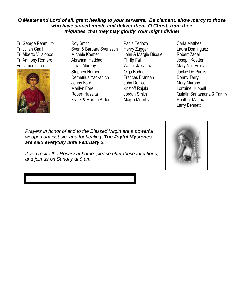#### *O Master and Lord of all, grant healing to your servants. Be clement, show mercy to those who have sinned much, and deliver them, O Christ, from their Iniquities, that they may glorify Your might divine!*

Fr. George Reamulto Fr. Julian Gnall Fr. Alberto Villalobos Fr. Anthony Romero Fr. James Lane



Roy Smith Sven & Barbara Svensson Michele Koetter Abraham Haddad Lillian Murphy Stephen Horner Demetrius Yackanich Jenny Ford Marilyn Fore Robert Hasaka Frank & Martha Arden

Paola Terlaza Henry Zugger John & Margie Disque Phillip Fall Walter Jakymiw Olga Bodnar Frances Brannan John Deflice Kristoff Rajala Jordan Smith Marge Merrills

John Deflice

Carla Matthes Laura Dominguez Robert Zadel Joseph Koetter Mary Nell Preisler Jackie De Paolis Donny Terry Mary Murphy Lorraine Hubbell Quintin Santamaria & Family Heather Mattax Larry Bennett

Katrina Andersonna to the Blessea v weapon against sin, and for healing. **The Joyful Mysteries** *are said everyday until February 2.* Jackie De Paolis Prayers in honor of and to the Blessed Virgin are a powerful

Marilyn Fore-Family If you recite the Rosary at home, please offer these intentions, and join us on Sunday at 9 am.

Al Adamsko

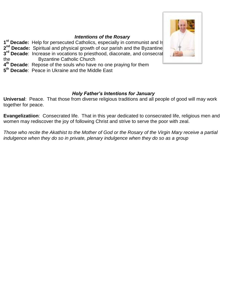#### *Intentions of the Rosary*

**1<sup>st</sup> Decade:** Help for persecuted Catholics, especially in communist and Is **2<sup>nd</sup> Decade:** Spiritual and physical growth of our parish and the Byzantine **3<sup>rd</sup> Decade**: Increase in vocations to priesthood, diaconate, and consecrated life to serve the Byzantine Catholic Church **4 th Decade**: Repose of the souls who have no one praying for them **5 th Decade**: Peace in Ukraine and the Middle East

### *Holy Father's Intentions for January*

**Universal**: Peace. That those from diverse religious traditions and all people of good will may work together for peace.

**Evangelizatiion**: Consecrated life. That in this year dedicated to consecrated life, religious men and women may rediscover the joy of following Christ and strive to serve the poor with zeal.

*Those who recite the Akathist to the Mother of God or the Rosary of the Virgin Mary receive a partial indulgence when they do so in private, plenary indulgence when they do so as a group*

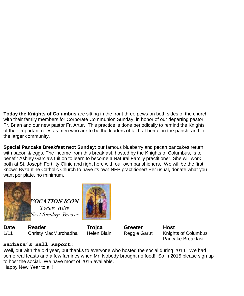**Today the Knights of Columbus** are sitting in the front three pews on both sides of the church with their family members for Corporate Communion Sunday, in honor of our departing pastor Fr. Brian and our new pastor Fr. Artur. This practice is done periodically to remind the Knights of their important roles as men who are to be the leaders of faith at home, in the parish, and in the larger community.

**Special Pancake Breakfast next Sunday**: our famous blueberry and pecan pancakes return with bacon & eggs. The income from this breakfast, hosted by the Knights of Columbus, is to benefit Ashley Garcia's tuition to learn to become a Natural Family practitioner. She will work both at St. Joseph Fertility Clinic and right here with our own parishioners. We will be the first known Byzantine Catholic Church to have its own NFP practitioner! Per usual, donate what you want per plate, no minimum.



**VOCATION ICON** *Today: Riley Next Sunday: Brewer*

**Date Reader Trojca Greeter Host** 1/11 Christy MacMurchadha Helen Blain Reggie Garuti Knights of Columbus



Pancake Breakfast

## **Barbara's Hall Report:**

Well, out with the old year, but thanks to everyone who hosted the social during 2014. We had some real feasts and a few famines when Mr. Nobody brought no food! So in 2015 please sign up to host the social. We have most of 2015 available. Happy New Year to all!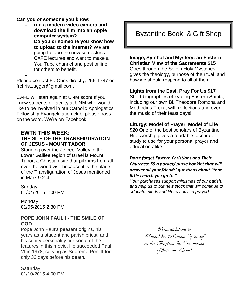**Can you or someone you know:**

-

- **run a modern video camera and download the film into an Apple computer system?**
- **Do you or someone you know how to upload to the internet?** We are going to tape the new semester's CAFE lectures and want to make a You Tube channel and post online for others to benefit.

Please contact Fr. Chris directly, 256-1787 or [frchris.zugger@gmail.com.](mailto:frchris.zugger@gmail.com)

CAFE will start again at UNM soon! If you know students or faculty at UNM who would like to be involved in our Catholic Apologetics Fellowship Evangelization club, please pass on the word. We're on Facebook!

#### **EWTN THIS WEEK**: **THE SITE OF THE TRANSFIGURATION OF JESUS - MOUNT TABOR**

Standing over the Jezreel Valley in the Lower Galilee region of Israel is Mount Tabor, a Christian site that pilgrims from all over the world visit because it is the place of the Transfiguration of Jesus mentioned in Mark 9:2-4.

Sunday 01/04/2015 1:00 PM

**Monday** 01/05/2015 2:30 PM

#### **POPE JOHN PAUL I - THE SMILE OF GOD**

Pope John Paul's peasant origins, his years as a student and parish priest, and his sunny personality are some of the features in this movie. He succeeded Paul VI in 1978, serving as Supreme Pontiff for only 33 days before his death.

**Saturday** 01/10/2015 4:00 PM

# Byzantine Book & Gift Shop

**Image, Symbol and Mystery: an Eastern Christian View of the Sacraments \$15**

Goes through the Seven Holy Mysteries, gives the theology, purpose of the ritual, and how we should respond to all of them.

#### **Lights from the East, Pray For Us \$17**

Short biographies of leading Eastern Saints, including our own Bl. Theodore Romzha and Methodius Trcka, with reflections and even the music of their feast days!

#### **Liturgy: Model of Prayer, Model of Life**

**\$20** One of the best scholars of Byzantine Rite worship gives a readable, accurate study to use for your personal prayer and education alike.

#### *Don't forget Eastern Christians and Their Churches: \$5 a pocket/ purse booklet that will answer all your friends' questions about "that little church you go to."*

*Your purchases support ministries of our parish, and help us to but new stock that will continue to educate minds and lift up souls in prayer!*

> *Congratulations to Dureid & Nahrein Youssef on the Baptism & Chrismation of their son, Lionel*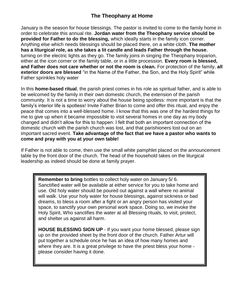# **The Theophany at Home**

January is the season for house blessings. The pastor is invited to come to the family home in order to celebrate this annual rite. **Jordan water from the Theophany service should be provided for Father to do the blessing,** which ideally starts in the family icon corner. Anything else which needs blessings should be placed there, on a white cloth. **The mother has a liturgical role, as she takes a lit candle and leads Father through the house**, turning on the electric lights as they go. The family joins in singing the Theophany troparion, either at the icon corner or the family table, or in a little procession. **Every room is blessed, and Father does not care whether or not the room is clean.** For protection of the family, **all exterior doors are blessed** "in the Name of the Father, the Son, and the Holy Spirit" while Father sprinkles holy water

In this **home-based ritual**, the parish priest comes in his role as spiritual father, and is able to be welcomed by the family in their own domestic church, the extension of the parish community. It is not a time to worry about the house being spotless: more important is that the family's interior life is spotless! Invite Father Brian to come and offer this ritual, and enjoy the peace that comes into a well-blessed home. I know that this was one of the hardest things for me to give up when it became impossible to visit several homes in one day as my body changed and didn't allow for this to happen: I felt that both an important connection of the domestic church with the parish church was lost, and that parishioners lost out on an important sacred event. **Take advantage of the fact that we have a pastor who wants to come and pray with you at your own table!** 

If Father is not able to come, then use the small white pamphlet placed on the announcement table by the front door of the church. The head of the household takes on the liturgical leadership as indeed should be done at family prayer.

**Remember to bring** bottles to collect holy water on January 5/ 6. Sanctified water will be available at either service for you to take home and use. Old holy water should be poured out against a wall where no animal will walk. Use your holy water for house blessings, against sickness or bad dreams, to bless a room after a fight or an angry person has visited your space, to sanctify your own personal work space. Doing so, we invoke the Holy Spirit, Who sanctifies the water at all Blessing rituals, to visit, protect, and shelter us against all harm.

**HOUSE BLESSING SIGN UP** - If you want your home blessed, please sign up on the provided sheet by the front door of the church. Father Artur will put together a schedule once he has an idea of how many homes and where they are. It is a great privilege to have the priest bless your home please consider having it done.